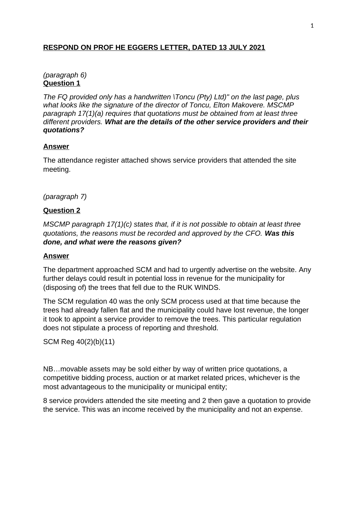# **RESPOND ON PROF HE EGGERS LETTER, DATED 13 JULY 2021**

# *(paragraph 6)* **Question 1**

*The FQ provided only has a handwritten \Toncu (Pty) Ltd)" on the last page, plus what looks like the signature of the director of Toncu, Elton Makovere. MSCMP paragraph 17(1)(a) requires that quotations must be obtained from at least three different providers. What are the details of the other service providers and their quotations?*

# **Answer**

The attendance register attached shows service providers that attended the site meeting.

# *(paragraph 7)*

## **Question 2**

*MSCMP paragraph 17(1)(c) states that, if it is not possible to obtain at least three quotations, the reasons must be recorded and approved by the CFO. Was this done, and what were the reasons given?*

## **Answer**

The department approached SCM and had to urgently advertise on the website. Any further delays could result in potential loss in revenue for the municipality for (disposing of) the trees that fell due to the RUK WINDS.

The SCM regulation 40 was the only SCM process used at that time because the trees had already fallen flat and the municipality could have lost revenue, the longer it took to appoint a service provider to remove the trees. This particular regulation does not stipulate a process of reporting and threshold.

SCM Reg 40(2)(b)(11)

NB…movable assets may be sold either by way of written price quotations, a competitive bidding process, auction or at market related prices, whichever is the most advantageous to the municipality or municipal entity;

8 service providers attended the site meeting and 2 then gave a quotation to provide the service. This was an income received by the municipality and not an expense.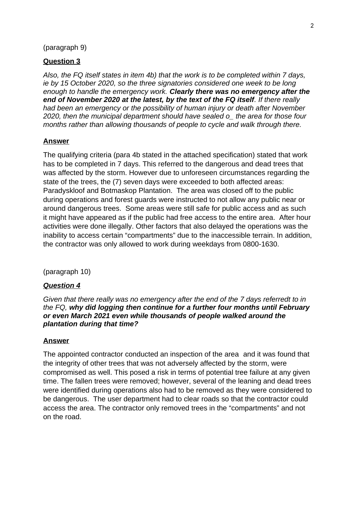### (paragraph 9)

### **Question 3**

*Also, the FQ itself states in item 4b) that the work is to be completed within 7 days, ie by 15 October 2020, so the three signatories considered one week to be long enough to handle the emergency work. Clearly there was no emergency after the end of November 2020 at the latest, by the text of the FQ itself. If there really had been an emergency or the possibility of human injury or death after November 2020, then the municipal department should have sealed o\_ the area for those four months rather than allowing thousands of people to cycle and walk through there.*

#### **Answer**

The qualifying criteria (para 4b stated in the attached specification) stated that work has to be completed in 7 days. This referred to the dangerous and dead trees that was affected by the storm. However due to unforeseen circumstances regarding the state of the trees, the (7) seven days were exceeded to both affected areas: Paradyskloof and Botmaskop Plantation. The area was closed off to the public during operations and forest guards were instructed to not allow any public near or around dangerous trees. Some areas were still safe for public access and as such it might have appeared as if the public had free access to the entire area. After hour activities were done illegally. Other factors that also delayed the operations was the inability to access certain "compartments" due to the inaccessible terrain. In addition, the contractor was only allowed to work during weekdays from 0800-1630.

(paragraph 10)

### *Question 4*

*Given that there really was no emergency after the end of the 7 days referredt to in the FQ, why did logging then continue for a further four months until February or even March 2021 even while thousands of people walked around the plantation during that time?*

#### **Answer**

The appointed contractor conducted an inspection of the area and it was found that the integrity of other trees that was not adversely affected by the storm, were compromised as well. This posed a risk in terms of potential tree failure at any given time. The fallen trees were removed; however, several of the leaning and dead trees were identified during operations also had to be removed as they were considered to be dangerous. The user department had to clear roads so that the contractor could access the area. The contractor only removed trees in the "compartments" and not on the road.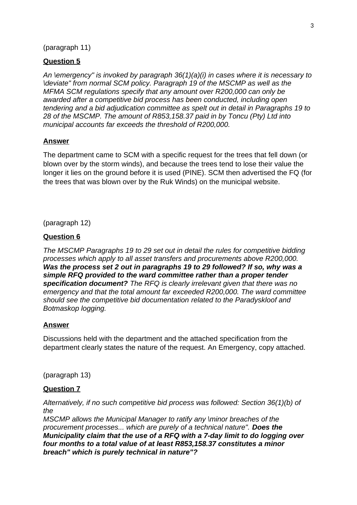## (paragraph 11)

## **Question 5**

*An \emergency" is invoked by paragraph 36(1)(a)(i) in cases where it is necessary to \deviate" from normal SCM policy. Paragraph 19 of the MSCMP as well as the MFMA SCM regulations specify that any amount over R200,000 can only be awarded after a competitive bid process has been conducted, including open tendering and a bid adjudication committee as spelt out in detail in Paragraphs 19 to 28 of the MSCMP. The amount of R853,158.37 paid in by Toncu (Pty) Ltd into municipal accounts far exceeds the threshold of R200,000.*

### **Answer**

The department came to SCM with a specific request for the trees that fell down (or blown over by the storm winds), and because the trees tend to lose their value the longer it lies on the ground before it is used (PINE). SCM then advertised the FQ (for the trees that was blown over by the Ruk Winds) on the municipal website.

(paragraph 12)

### **Question 6**

*The MSCMP Paragraphs 19 to 29 set out in detail the rules for competitive bidding processes which apply to all asset transfers and procurements above R200,000. Was the process set 2 out in paragraphs 19 to 29 followed? If so, why was a simple RFQ provided to the ward committee rather than a proper tender specification document? The RFQ is clearly irrelevant given that there was no emergency and that the total amount far exceeded R200,000. The ward committee should see the competitive bid documentation related to the Paradyskloof and Botmaskop logging.*

### **Answer**

Discussions held with the department and the attached specification from the department clearly states the nature of the request. An Emergency, copy attached.

(paragraph 13)

#### **Question 7**

*Alternatively, if no such competitive bid process was followed: Section 36(1)(b) of the*

*MSCMP allows the Municipal Manager to ratify any \minor breaches of the procurement processes... which are purely of a technical nature". Does the Municipality claim that the use of a RFQ with a 7-day limit to do logging over four months to a total value of at least R853,158.37 constitutes a minor breach" which is purely technical in nature"?*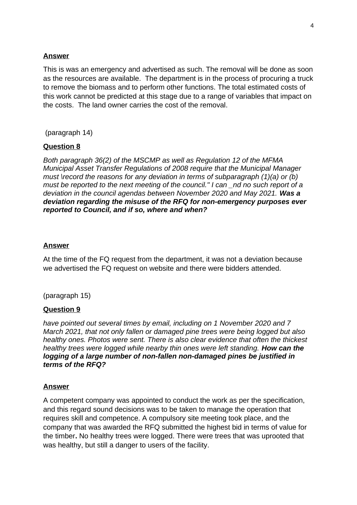## **Answer**

This is was an emergency and advertised as such. The removal will be done as soon as the resources are available. The department is in the process of procuring a truck to remove the biomass and to perform other functions. The total estimated costs of this work cannot be predicted at this stage due to a range of variables that impact on the costs. The land owner carries the cost of the removal.

(paragraph 14)

## **Question 8**

*Both paragraph 36(2) of the MSCMP as well as Regulation 12 of the MFMA Municipal Asset Transfer Regulations of 2008 require that the Municipal Manager must \record the reasons for any deviation in terms of subparagraph (1)(a) or (b) must be reported to the next meeting of the council." I can \_nd no such report of a deviation in the council agendas between November 2020 and May 2021. Was a deviation regarding the misuse of the RFQ for non-emergency purposes ever reported to Council, and if so, where and when?*

### **Answer**

At the time of the FQ request from the department, it was not a deviation because we advertised the FQ request on website and there were bidders attended.

(paragraph 15)

## **Question 9**

*have pointed out several times by email, including on 1 November 2020 and 7 March 2021, that not only fallen or damaged pine trees were being logged but also healthy ones. Photos were sent. There is also clear evidence that often the thickest healthy trees were logged while nearby thin ones were left standing. How can the logging of a large number of non-fallen non-damaged pines be justified in terms of the RFQ?*

### **Answer**

A competent company was appointed to conduct the work as per the specification, and this regard sound decisions was to be taken to manage the operation that requires skill and competence. A compulsory site meeting took place, and the company that was awarded the RFQ submitted the highest bid in terms of value for the timber**.** No healthy trees were logged. There were trees that was uprooted that was healthy, but still a danger to users of the facility.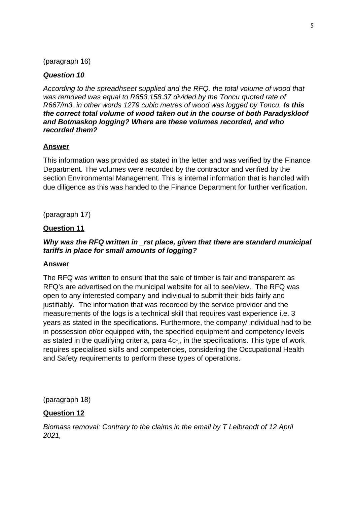## (paragraph 16)

# *Question 10*

*According to the spreadhseet supplied and the RFQ, the total volume of wood that was removed was equal to R853,158.37 divided by the Toncu quoted rate of R667/m3, in other words 1279 cubic metres of wood was logged by Toncu. Is this the correct total volume of wood taken out in the course of both Paradyskloof and Botmaskop logging? Where are these volumes recorded, and who recorded them?*

## **Answer**

This information was provided as stated in the letter and was verified by the Finance Department. The volumes were recorded by the contractor and verified by the section Environmental Management. This is internal information that is handled with due diligence as this was handed to the Finance Department for further verification.

(paragraph 17)

## **Question 11**

## *Why was the RFQ written in \_rst place, given that there are standard municipal tariffs in place for small amounts of logging?*

### **Answer**

The RFQ was written to ensure that the sale of timber is fair and transparent as RFQ's are advertised on the municipal website for all to see/view. The RFQ was open to any interested company and individual to submit their bids fairly and justifiably. The information that was recorded by the service provider and the measurements of the logs is a technical skill that requires vast experience i.e. 3 years as stated in the specifications. Furthermore, the company/ individual had to be in possession of/or equipped with, the specified equipment and competency levels as stated in the qualifying criteria, para 4c-j, in the specifications. This type of work requires specialised skills and competencies, considering the Occupational Health and Safety requirements to perform these types of operations.

(paragraph 18)

## **Question 12**

*Biomass removal: Contrary to the claims in the email by T Leibrandt of 12 April 2021,*